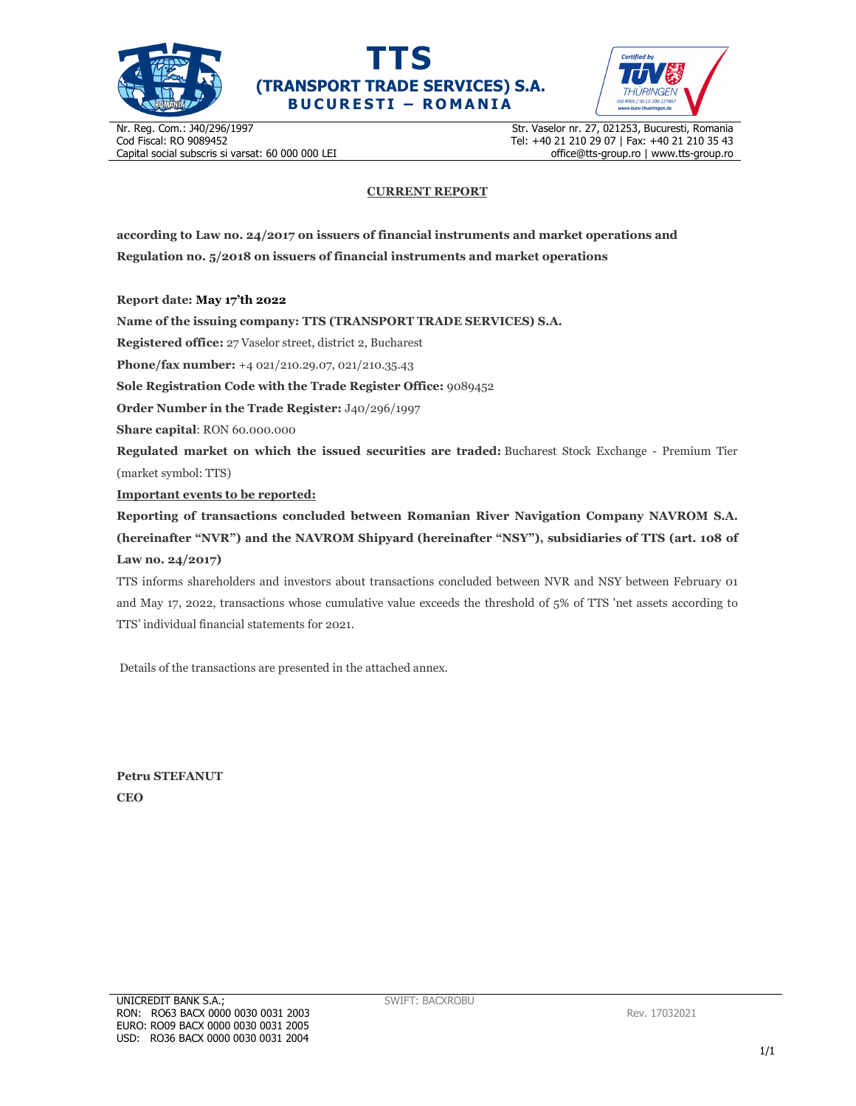





Nr. Reg. Com.: J40/296/1997 Cod Fiscal: RO 9089452 Capital social subscris si varsat: 60 000 000 LEI Str. Vaselor nr. 27, 021253, Bucuresti, Romania Tel: +40 21 210 29 07 | Fax: +40 21 210 35 43 office@tts-group.ro | www.tts-group.ro

## **CURRENT REPORT**

**according to Law no. 24/2017 on issuers of financial instruments and market operations and Regulation no. 5/2018 on issuers of financial instruments and market operations** 

**Report date: May 17'th 2022**

**Name of the issuing company: TTS (TRANSPORT TRADE SERVICES) S.A.**

**Registered office:** 27 Vaselor street, district 2, Bucharest

**Phone/fax number:** +4 021/210.29.07, 021/210.35.43

**Sole Registration Code with the Trade Register Office:** 9089452

**Order Number in the Trade Register:** J40/296/1997

**Share capital**: RON 60.000.000

**Regulated market on which the issued securities are traded:** Bucharest Stock Exchange - Premium Tier (market symbol: TTS)

**Important events to be reported:**

**Reporting of transactions concluded between Romanian River Navigation Company NAVROM S.A. (hereinafter "NVR") and the NAVROM Shipyard (hereinafter "NSY"), subsidiaries of TTS (art. 108 of Law no. 24/2017)** 

TTS informs shareholders and investors about transactions concluded between NVR and NSY between February 01 and May 17, 2022, transactions whose cumulative value exceeds the threshold of 5% of TTS 'net assets according to TTS' individual financial statements for 2021.

Details of the transactions are presented in the attached annex.

**Petru STEFANUT CEO**